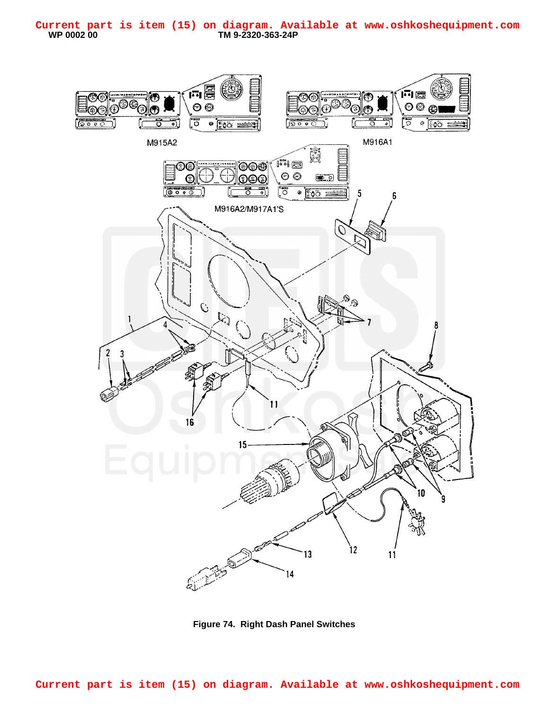<span id="page-0-0"></span>

**Figure 74. Right Dash Panel Switches**